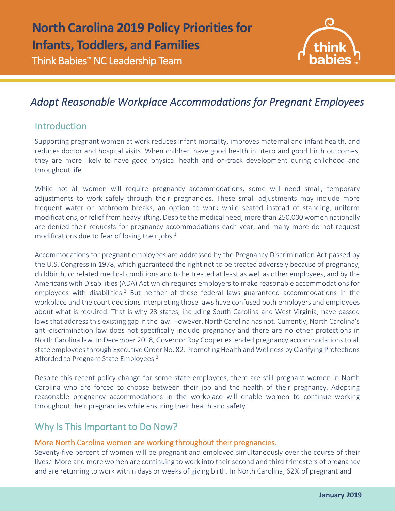

# *Adopt Reasonable Workplace Accommodations for Pregnant Employees*

## **Introduction**

l

Supporting pregnant women at work reduces infant mortality, improves maternal and infant health, and reduces doctor and hospital visits. When children have good health in utero and good birth outcomes, they are more likely to have good physical health and on-track development during childhood and throughout life.

While not all women will require pregnancy accommodations, some will need small, temporary adjustments to work safely through their pregnancies. These small adjustments may include more frequent water or bathroom breaks, an option to work while seated instead of standing, uniform modifications, or relief from heavy lifting. Despite the medical need, more than 250,000 women nationally are denied their requests for pregnancy accommodations each year, and many more do not request modifications due to fear of losing their jobs. $<sup>1</sup>$ </sup>

Accommodations for pregnant employees are addressed by the Pregnancy Discrimination Act passed by the U.S. Congress in 1978, which guaranteed the right not to be treated adversely because of pregnancy, childbirth, or related medical conditions and to be treated at least as well as other employees, and by the Americans with Disabilities (ADA) Act which requires employers to make reasonable accommodations for employees with disabilities.<sup>2</sup> But neither of these federal laws guaranteed accommodations in the workplace and the court decisions interpreting those laws have confused both employers and employees about what is required. That is why 23 states, including South Carolina and West Virginia, have passed laws that address this existing gap in the law. However, North Carolina has not. Currently, North Carolina's anti-discrimination law does not specifically include pregnancy and there are no other protections in North Carolina law. In December 2018, Governor Roy Cooper extended pregnancy accommodations to all state employees through Executive Order No. 82: Promoting Health and Wellness by Clarifying Protections Afforded to Pregnant State Employees.<sup>3</sup>

Despite this recent policy change for some state employees, there are still pregnant women in North Carolina who are forced to choose between their job and the health of their pregnancy. Adopting reasonable pregnancy accommodations in the workplace will enable women to continue working throughout their pregnancies while ensuring their health and safety.

### Why Is This Important to Do Now?

### More North Carolina women are working throughout their pregnancies.

Seventy-five percent of women will be pregnant and employed simultaneously over the course of their lives.<sup>4</sup> More and more women are continuing to work into their second and third trimesters of pregnancy and are returning to work within days or weeks of giving birth. In North Carolina, 62% of pregnant and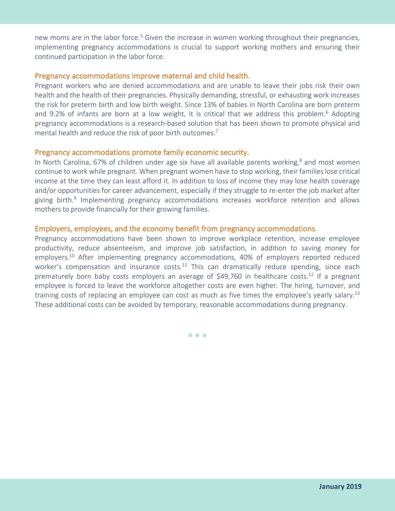new moms are in the labor force.<sup>5</sup> Given the increase in women working throughout their pregnancies, implementing pregnancy accommodations is crucial to support working mothers and ensuring their continued participation in the labor force.

#### Pregnancy accommodations improve maternal and child health.

Pregnant workers who are denied accommodations and are unable to leave their jobs risk their own health and the health of their pregnancies. Physically demanding, stressful, or exhausting work increases the risk for preterm birth and low birth weight. Since 13% of babies in North Carolina are born preterm and 9.2% of infants are born at a low weight, it is critical that we address this problem.<sup>6</sup> Adopting pregnancy accommodations is a research-based solution that has been shown to promote physical and mental health and reduce the risk of poor birth outcomes.<sup>7</sup>

#### Pregnancy accommodations promote family economic security.

In North Carolina, 67% of children under age six have all available parents working, $8$  and most women continue to work while pregnant. When pregnant women have to stop working, their families lose critical income at the time they can least afford it. In addition to loss of income they may lose health coverage and/or opportunities for career advancement, especially if they struggle to re-enter the job market after giving birth.<sup>9</sup> Implementing pregnancy accommodations increases workforce retention and allows mothers to provide financially for their growing families.

#### Employers, employees, and the economy benefit from pregnancy accommodations.

Pregnancy accommodations have been shown to improve workplace retention, increase employee productivity, reduce absenteeism, and improve job satisfaction, in addition to saving money for employers.<sup>10</sup> After implementing pregnancy accommodations, 40% of employers reported reduced worker's compensation and insurance costs.<sup>11</sup> This can dramatically reduce spending, since each prematurely born baby costs employers an average of \$49,760 in healthcare costs.<sup>12</sup> If a pregnant employee is forced to leave the workforce altogether costs are even higher. The hiring, turnover, and training costs of replacing an employee can cost as much as five times the employee's yearly salary.<sup>13</sup> These additional costs can be avoided by temporary, reasonable accommodations during pregnancy.

• • •